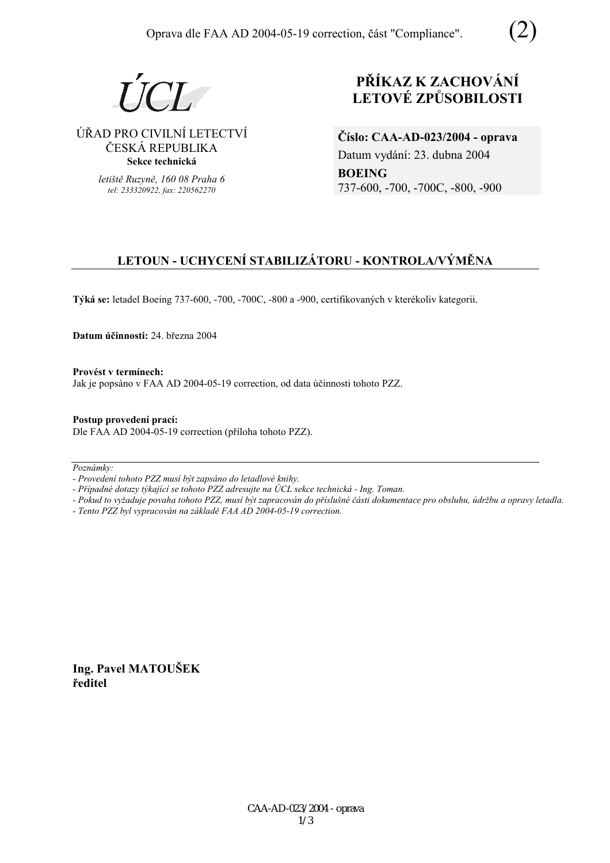$I$   $\Gamma$  $I$ 

ÚŘAD PRO CIVILNÍ LETECTVÍ ČESKÁ REPUBLIKA **Sekce technická** 

> *letiötě Ruzyně, 160 08 Praha 6 tel: 233320922, fax: 220562270*

# **PŘÍKAZ K ZACHOVÁNÍ LETOV… ZPŮSOBILOSTI**

**ČÌslo: CAA-AD-023/2004 - oprava**  Datum vydání: 23. dubna 2004 **BOEING**  737-600, -700, -700C, -800, -900

## **LETOUN - UCHYCENÕ STABILIZ£TORU - KONTROLA/V›MĚNA**

Týká se: letadel Boeing 737-600, -700, -700C, -800 a -900, certifikovaných v kterékoliv kategorii.

**Datum ˙činnosti:** 24. března 2004

Provést v termínech: Jak je popsáno v FAA AD 2004-05-19 correction, od data účinnosti tohoto PZZ.

**Postup provedenÌ pracÌ:**  Dle FAA AD 2004-05-19 correction (příloha tohoto PZZ).

Poznámky:

*- ProvedenÌ tohoto PZZ musÌ b˝t zaps·no do letadlovÈ knihy.* 

- Případné dotazy týkající se tohoto PZZ adresujte na ÚCL sekce technická - Ing. Toman.

*- Pokud to vyûaduje povaha tohoto PZZ, musÌ b˝t zapracov·n do přÌsluönÈ č·sti dokumentace pro obsluhu, ˙drûbu a opravy letadla.* 

*- Tento PZZ byl vypracov·n na z·kladě FAA AD 2004-05-19 correction.* 

**Ing. Pavel MATOUäEK ředitel**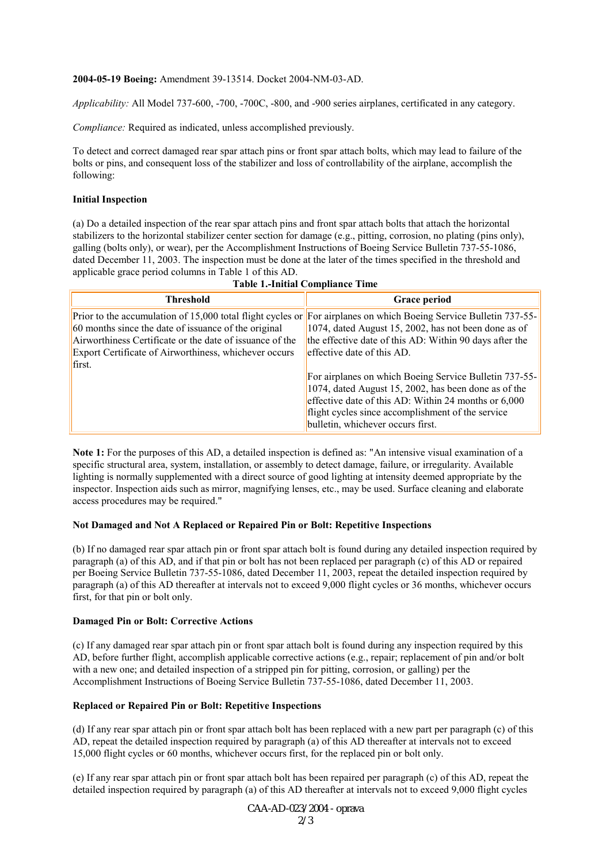#### **2004-05-19 Boeing:** Amendment 39-13514. Docket 2004-NM-03-AD.

*Applicability:* All Model 737-600, -700, -700C, -800, and -900 series airplanes, certificated in any category.

*Compliance:* Required as indicated, unless accomplished previously.

To detect and correct damaged rear spar attach pins or front spar attach bolts, which may lead to failure of the bolts or pins, and consequent loss of the stabilizer and loss of controllability of the airplane, accomplish the following:

## **Initial Inspection**

(a) Do a detailed inspection of the rear spar attach pins and front spar attach bolts that attach the horizontal stabilizers to the horizontal stabilizer center section for damage (e.g., pitting, corrosion, no plating (pins only), galling (bolts only), or wear), per the Accomplishment Instructions of Boeing Service Bulletin 737-55-1086, dated December 11, 2003. The inspection must be done at the later of the times specified in the threshold and applicable grace period columns in Table 1 of this AD. **Table 1.-Initial Compliance Time**

| тимну то типунат сотпримнее типе                                                                                                                                                    |                                                                                                                                                                                                                                                                                                                                                                                                                                                                                                                                             |
|-------------------------------------------------------------------------------------------------------------------------------------------------------------------------------------|---------------------------------------------------------------------------------------------------------------------------------------------------------------------------------------------------------------------------------------------------------------------------------------------------------------------------------------------------------------------------------------------------------------------------------------------------------------------------------------------------------------------------------------------|
| <b>Threshold</b>                                                                                                                                                                    | Grace period                                                                                                                                                                                                                                                                                                                                                                                                                                                                                                                                |
| 60 months since the date of issuance of the original<br>Airworthiness Certificate or the date of issuance of the<br>Export Certificate of Airworthiness, whichever occurs<br>first. | Prior to the accumulation of 15,000 total flight cycles or For airplanes on which Boeing Service Bulletin 737-55-<br>1074, dated August 15, 2002, has not been done as of<br>the effective date of this AD: Within 90 days after the<br>effective date of this AD.<br>For airplanes on which Boeing Service Bulletin 737-55-<br>$1074$ , dated August 15, 2002, has been done as of the<br>effective date of this AD: Within 24 months or $6,000$<br>flight cycles since accomplishment of the service<br>bulletin, whichever occurs first. |

**Note 1:** For the purposes of this AD, a detailed inspection is defined as: "An intensive visual examination of a specific structural area, system, installation, or assembly to detect damage, failure, or irregularity. Available

lighting is normally supplemented with a direct source of good lighting at intensity deemed appropriate by the inspector. Inspection aids such as mirror, magnifying lenses, etc., may be used. Surface cleaning and elaborate access procedures may be required."

## **Not Damaged and Not A Replaced or Repaired Pin or Bolt: Repetitive Inspections**

(b) If no damaged rear spar attach pin or front spar attach bolt is found during any detailed inspection required by paragraph (a) of this AD, and if that pin or bolt has not been replaced per paragraph (c) of this AD or repaired per Boeing Service Bulletin 737-55-1086, dated December 11, 2003, repeat the detailed inspection required by paragraph (a) of this AD thereafter at intervals not to exceed 9,000 flight cycles or 36 months, whichever occurs first, for that pin or bolt only.

#### **Damaged Pin or Bolt: Corrective Actions**

(c) If any damaged rear spar attach pin or front spar attach bolt is found during any inspection required by this AD, before further flight, accomplish applicable corrective actions (e.g., repair; replacement of pin and/or bolt with a new one; and detailed inspection of a stripped pin for pitting, corrosion, or galling) per the Accomplishment Instructions of Boeing Service Bulletin 737-55-1086, dated December 11, 2003.

## **Replaced or Repaired Pin or Bolt: Repetitive Inspections**

(d) If any rear spar attach pin or front spar attach bolt has been replaced with a new part per paragraph (c) of this AD, repeat the detailed inspection required by paragraph (a) of this AD thereafter at intervals not to exceed 15,000 flight cycles or 60 months, whichever occurs first, for the replaced pin or bolt only.

(e) If any rear spar attach pin or front spar attach bolt has been repaired per paragraph (c) of this AD, repeat the detailed inspection required by paragraph (a) of this AD thereafter at intervals not to exceed 9,000 flight cycles

> CAA-AD-023/2004 - oprava  $2/3$